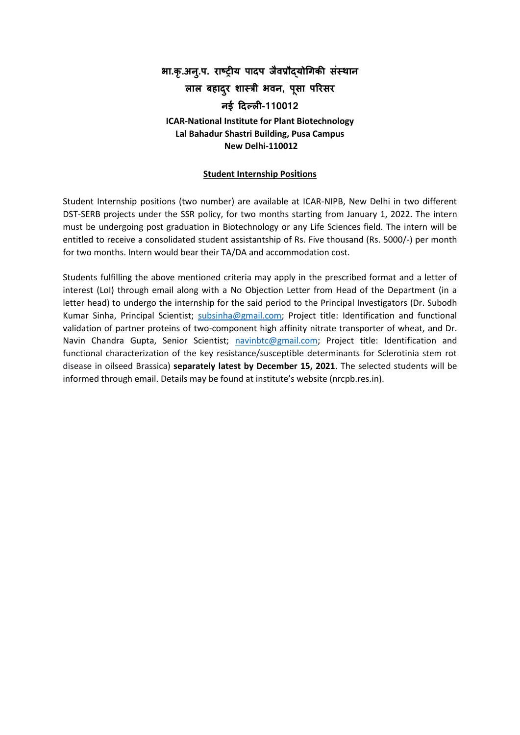# **भा.कृ.अन.ुप. राष्ट्रीय पादप जैवप्रौद्योगिकी संस्थान लाल बहादरु शास्री भवन, पसू ा पररसर नई ददल्ली-110012 ICAR-National Institute for Plant Biotechnology Lal Bahadur Shastri Building, Pusa Campus New Delhi-110012**

#### **Student Internship Positions**

Student Internship positions (two number) are available at ICAR-NIPB, New Delhi in two different DST-SERB projects under the SSR policy, for two months starting from January 1, 2022. The intern must be undergoing post graduation in Biotechnology or any Life Sciences field. The intern will be entitled to receive a consolidated student assistantship of Rs. Five thousand (Rs. 5000/-) per month for two months. Intern would bear their TA/DA and accommodation cost.

Students fulfilling the above mentioned criteria may apply in the prescribed format and a letter of interest (LoI) through email along with a No Objection Letter from Head of the Department (in a letter head) to undergo the internship for the said period to the Principal Investigators (Dr. Subodh Kumar Sinha, Principal Scientist; [subsinha@gmail.com;](mailto:subsinha@gmail.com) Project title: Identification and functional validation of partner proteins of two-component high affinity nitrate transporter of wheat, and Dr. Navin Chandra Gupta, Senior Scientist; [navinbtc@gmail.com;](mailto:navinbtc@gmail.com) Project title: Identification and functional characterization of the key resistance/susceptible determinants for Sclerotinia stem rot disease in oilseed Brassica) **separately latest by December 15, 2021**. The selected students will be informed through email. Details may be found at institute's website (nrcpb.res.in).